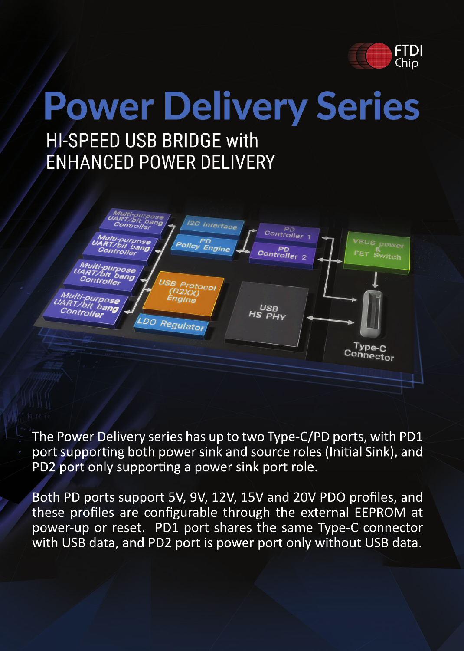

## **Power Delivery Series HI-SPEED USB BRIDGE with ENHANCED POWER DELIVERY**



The Power Delivery series has up to two Type-C/PD ports, with PD1 port supporting both power sink and source roles (Initial Sink), and PD2 port only supporting a power sink port role.

Both PD ports support 5V, 9V, 12V, 15V and 20V PDO profiles, and these profiles are configurable through the external EEPROM at power-up or reset. PD1 port shares the same Type-C connector with USB data, and PD2 port is power port only without USB data.